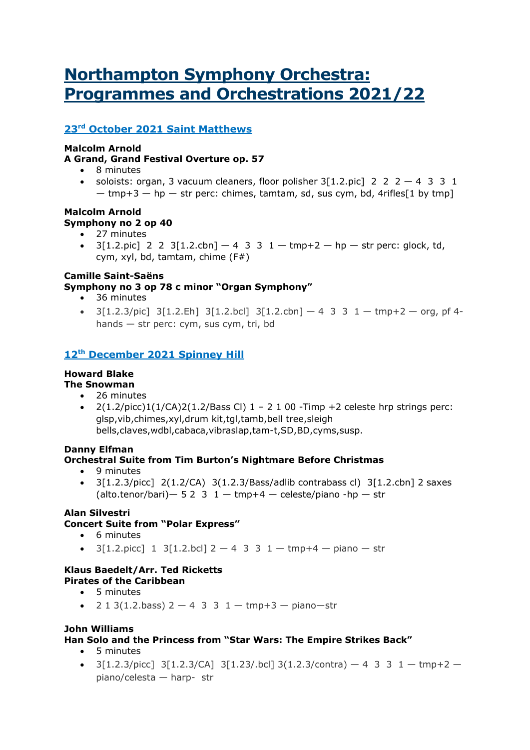# **Northampton Symphony Orchestra: Programmes and Orchestrations 2021/22**

## **23rd October 2021 Saint Matthews**

#### **Malcolm Arnold**

#### **A Grand, Grand Festival Overture op. 57**

- 8 minutes
- soloists: organ, 3 vacuum cleaners, floor polisher  $3[1.2$ .pic  $2 \ 2 \ 2 \ -4 \ 3 \ 3 \ 1$ 
	- $-$  tmp+3  $-$  hp  $-$  str perc: chimes, tamtam, sd, sus cym, bd, 4rifles [1 by tmp]

### **Malcolm Arnold Symphony no 2 op 40**

- 27 minutes
- $3[1.2.pic]$  2 2  $3[1.2.cbn] 4$  3 3  $1 tmp + 2 hp str perc$ : glock, td, cym, xyl, bd, tamtam, chime (F#)

## **Camille Saint-Saëns**

#### **Symphony no 3 op 78 c minor "Organ Symphony"**

- 36 minutes
- $3[1.2.3/pic]$   $3[1.2.Eh]$   $3[1.2.bcl]$   $3[1.2.ch]$   $-4$   $3$   $3$   $1 tmp+2 org$ , pf 4hands — str perc: cym, sus cym, tri, bd

## **12th December 2021 Spinney Hill**

## **Howard Blake**

- **The Snowman** • 26 minutes
	- $2(1.2/pirc)1(1/CA)2(1.2/Bass Cl)1 2100$  -Timp +2 celeste hrp strings perc: glsp,vib,chimes,xyl,drum kit,tgl,tamb,bell tree,sleigh bells,claves,wdbl,cabaca,vibraslap,tam-t,SD,BD,cyms,susp.

#### **Danny Elfman Orchestral Suite from Tim Burton's Nightmare Before Christmas**

- 9 minutes
- 3[1.2.3/picc] 2(1.2/CA) 3(1.2.3/Bass/adlib contrabass cl) 3[1.2.cbn] 2 saxes (alto.tenor/bari)  $-$  5 2 3 1  $-$  tmp+4  $-$  celeste/piano -hp  $-$  str

#### **Alan Silvestri Concert Suite from "Polar Express"**

- 6 minutes
- $3[1.2.picc]$  1  $3[1.2.bc]$  2 4 3 3 1 tmp+4 piano str

#### **Klaus Baedelt/Arr. Ted Ricketts Pirates of the Caribbean**

- 5 minutes
- 2 1 3(1.2.bass)  $2 4$  3 3  $1 \text{tmp+3} \text{piano}-\text{str}$

#### **John Williams**

#### **Han Solo and the Princess from "Star Wars: The Empire Strikes Back"**

- 5 minutes
- 3[1.2.3/picc] 3[1.2.3/CA] 3[1.2.3/.bcl] 3(1.2.3/contra)  $-4$  3 3 1  $-$  tmp+2  $$ piano/celesta — harp- str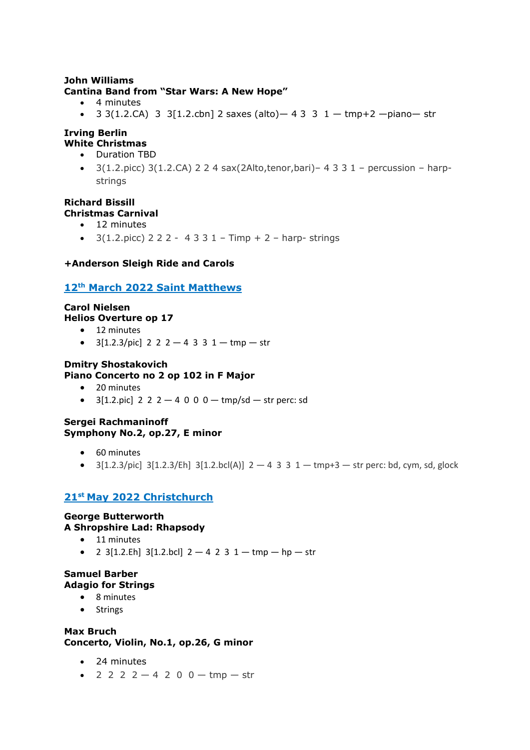#### **John Williams Cantina Band from "Star Wars: A New Hope"**

- 4 minutes
- 3 3(1.2.CA) 3 3[1.2.cbn] 2 saxes (alto) 4 3 3 1 tmp+2 piano str

#### **Irving Berlin White Christmas**

- Duration TBD
- 3(1.2.picc) 3(1.2.CA) 2 2 4 sax(2Alto,tenor,bari)– 4 3 3 1 percussion harpstrings

#### **Richard Bissill Christmas Carnival**

- 12 minutes
- $3(1.2.\text{picc})$  2 2 2 4 3 3 1 Timp + 2 harp-strings

#### **+Anderson Sleigh Ride and Carols**

#### **12th March 2022 Saint Matthews**

#### **Carol Nielsen Helios Overture op 17**

- 12 minutes
- $3[1.2.3/pic]$  2 2 2 4 3 3 1 tmp str

#### **Dmitry Shostakovich**

#### **Piano Concerto no 2 op 102 in F Major**

- 20 minutes
- $3[1.2.pic]$  2 2 2  $-$  4 0 0 0  $-$  tmp/sd  $-$  str perc: sd

#### **Sergei Rachmaninoff Symphony No.2, op.27, E minor**

- 60 minutes
- $3[1.2.3/\text{pic}]$   $3[1.2.3/\text{E}h]$   $3[1.2.\text{bc}l(A)]$   $2-4$  3 3  $1-\text{tmp+3}$  str perc: bd, cym, sd, glock

## **21st May 2022 Christchurch**

### **George Butterworth A Shropshire Lad: Rhapsody**

- 11 minutes
- 2 3[1.2.Eh] 3[1.2.bcl]  $2 4$  2 3 1 tmp hp str

#### **Samuel Barber Adagio for Strings**

- 8 minutes
- Strings

#### **Max Bruch Concerto, Violin, No.1, op.26, G minor**

- 24 minutes
- 2 2 2 2  $-4$  2 0 0  $-$  tmp  $-$  str